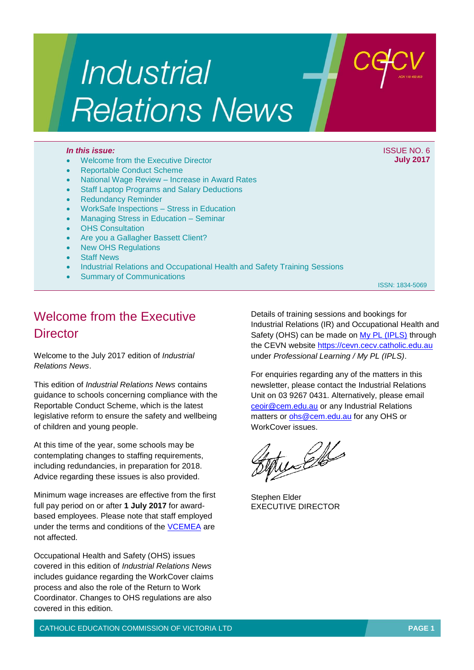# *Industrial* **Relations News**

### *In this issue:* ISSUE NO. 6

- Welcome from the Executive Director
- Reportable Conduct Scheme
- National Wage Review Increase in Award Rates
- Staff Laptop Programs and Salary Deductions
- Redundancy Reminder
- WorkSafe Inspections Stress in Education
- Managing Stress in Education Seminar
- OHS Consultation
- Are you a Gallagher Bassett Client?
- New OHS Regulations
- Staff News
- Industrial Relations and Occupational Health and Safety Training Sessions
- Summary of Communications

ISSN: 1834-5069

# Welcome from the Executive **Director**

Welcome to the July 2017 edition of *Industrial Relations News*.

This edition of *Industrial Relations News* contains guidance to schools concerning compliance with the Reportable Conduct Scheme, which is the latest legislative reform to ensure the safety and wellbeing of children and young people.

At this time of the year, some schools may be contemplating changes to staffing requirements, including redundancies, in preparation for 2018. Advice regarding these issues is also provided.

Minimum wage increases are effective from the first full pay period on or after **1 July 2017** for awardbased employees. Please note that staff employed under the terms and conditions of the [VCEMEA](http://www.cecv.catholic.edu.au/getmedia/e728ccbb-dac1-4822-9607-7c5cb8abdae9/VCEMEA_2013.aspx) are not affected.

Occupational Health and Safety (OHS) issues covered in this edition of *Industrial Relations News* includes guidance regarding the WorkCover claims process and also the role of the Return to Work Coordinator. Changes to OHS regulations are also covered in this edition.

Details of training sessions and bookings for Industrial Relations (IR) and Occupational Health and Safety (OHS) can be made on [My PL \(IPLS\)](http://cevn.cecv.catholic.edu.au/ProfessionalLearning.aspx?id=7160) through the CEVN website [https://cevn.cecv.catholic.edu.au](https://cevn.cecv.catholic.edu.au/) under *Professional Learning / My PL (IPLS)*.

For enquiries regarding any of the matters in this newsletter, please contact the Industrial Relations Unit on 03 9267 0431. Alternatively, please email [ceoir@cem.edu.au](mailto:ceoir@cem.edu.au) or any Industrial Relations matters or [ohs@cem.edu.au](mailto:ohs@cem.edu.au) for any OHS or WorkCover issues.

tudello

Stephen Elder EXECUTIVE DIRECTOR

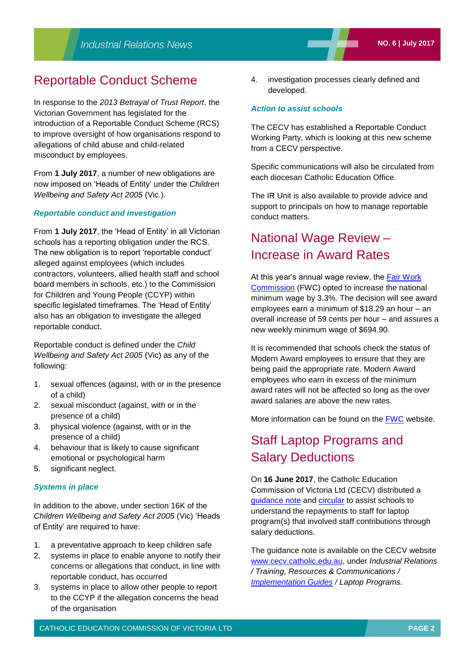## Reportable Conduct Scheme

In response to the *2013 Betrayal of Trust Report*, the Victorian Government has legislated for the introduction of a Reportable Conduct Scheme (RCS) to improve oversight of how organisations respond to allegations of child abuse and child-related misconduct by employees.

From **1 July 2017**, a number of new obligations are now imposed on 'Heads of Entity' under the *Children Wellbeing and Safety Act 2005* (Vic.).

## *Reportable conduct and investigation*

From **1 July 2017**, the 'Head of Entity' in all Victorian schools has a reporting obligation under the RCS. The new obligation is to report 'reportable conduct' alleged against employees (which includes contractors, volunteers, allied health staff and school board members in schools, etc.) to the Commission for Children and Young People (CCYP) within specific legislated timeframes. The 'Head of Entity' also has an obligation to investigate the alleged reportable conduct.

Reportable conduct is defined under the *Child Wellbeing and Safety Act 2005* (Vic) as any of the following:

- 1. sexual offences (against, with or in the presence of a child)
- 2. sexual misconduct (against, with or in the presence of a child)
- 3. physical violence (against, with or in the presence of a child)
- 4. behaviour that is likely to cause significant emotional or psychological harm
- 5. significant neglect.

#### *Systems in place*

In addition to the above, under section 16K of the *Children Wellbeing and Safety Act 2005* (Vic) 'Heads of Entity' are required to have:

- 1. a preventative approach to keep children safe
- 2. systems in place to enable anyone to notify their concerns or allegations that conduct, in line with reportable conduct, has occurred
- 3. systems in place to allow other people to report to the CCYP if the allegation concerns the head of the organisation

4. investigation processes clearly defined and developed.

## *Action to assist schools*

The CECV has established a Reportable Conduct Working Party, which is looking at this new scheme from a CECV perspective.

Specific communications will also be circulated from each diocesan Catholic Education Office.

The IR Unit is also available to provide advice and support to principals on how to manage reportable conduct matters.

# National Wage Review – Increase in Award Rates

At this year's annual wage review, the Fair Work [Commission](https://www.fwc.gov.au/awards-agreements/minimum-wages-conditions/annual-wage-reviews/annual-wage-review-2016-17) (FWC) opted to increase the national minimum wage by 3.3%. The decision will see award employees earn a minimum of \$18.29 an hour – an overall increase of 59 cents per hour – and assures a new weekly minimum wage of \$694.90.

It is recommended that schools check the status of Modern Award employees to ensure that they are being paid the appropriate rate. Modern Award employees who earn in excess of the minimum award rates will not be affected so long as the over award salaries are above the new rates.

More information can be found on the [FWC](https://www.fwc.gov.au/) website.

# Staff Laptop Programs and Salary Deductions

On **16 June 2017**, the Catholic Education Commission of Victoria Ltd (CECV) distributed a [guidance note](http://www.cecv.catholic.edu.au/getmedia/3bc747aa-2a8d-45c6-8b66-bc23e0ade482/Laptop-Program-Guidance-Note.aspx) and [circular](http://www.cecv.catholic.edu.au/getmedia/40930518-a09f-4b5a-a392-1837e663c764/CECV-Staff-Laptop-Programs-and-Salary-Deductions-%e2%80%93-__Guidance-Note__.aspx) to assist schools to understand the repayments to staff for laptop program(s) that involved staff contributions through salary deductions.

The guidance note is available on the CECV website [www.cecv.catholic.edu.au,](http://www.cecv.catholic.edu.au) under *Industrial Relations / Training, Resources & Communications / [Implementation Guides](http://www.cecv.catholic.edu.au/Industrial-Relations/Training-Resources/Implementation-Guides) / Laptop Programs.*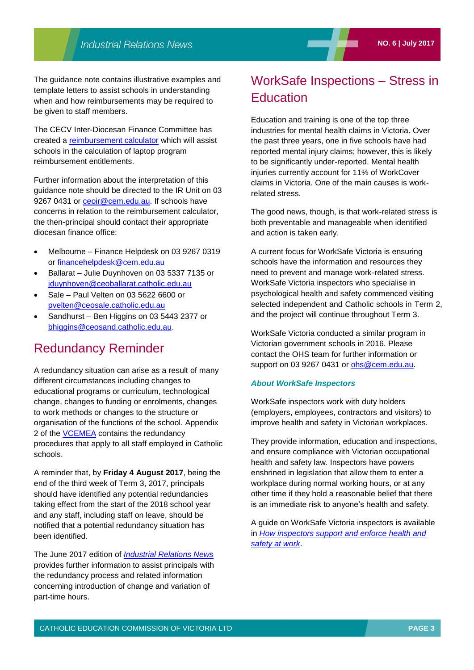The guidance note contains illustrative examples and template letters to assist schools in understanding when and how reimbursements may be required to be given to staff members.

The CECV Inter-Diocesan Finance Committee has created a [reimbursement calculator](http://cevn.cecv.catholic.edu.au/WorkArea/DownloadAsset.aspx?id=8589943304) which will assist schools in the calculation of laptop program reimbursement entitlements.

Further information about the interpretation of this guidance note should be directed to the IR Unit on 03 9267 0431 or [ceoir@cem.edu.au.](mailto:ceoir@cem.edu.au) If schools have concerns in relation to the reimbursement calculator, the then-principal should contact their appropriate diocesan finance office:

- Melbourne Finance Helpdesk on 03 9267 0319 or [financehelpdesk@cem.edu.au](mailto:financehelpdesk@cem.edu.au)
- Ballarat Julie Duynhoven on 03 5337 7135 or [jduynhoven@ceoballarat.catholic.edu.au](mailto:jduynhoven@ceoballarat.catholic.edu.au)
- Sale Paul Velten on 03 5622 6600 or [pvelten@ceosale.catholic.edu.au](mailto:pvelten@ceosale.catholic.edu.au)
- Sandhurst Ben Higgins on 03 5443 2377 or [bhiggins@ceosand.catholic.edu.au.](mailto:bhiggins@ceosand.catholic.edu.au)

## Redundancy Reminder

A redundancy situation can arise as a result of many different circumstances including changes to educational programs or curriculum, technological change, changes to funding or enrolments, changes to work methods or changes to the structure or organisation of the functions of the school. Appendix 2 of the [VCEMEA](http://www.cecv.catholic.edu.au/getmedia/e728ccbb-dac1-4822-9607-7c5cb8abdae9/VCEMEA_2013.aspx) contains the redundancy procedures that apply to all staff employed in Catholic schools.

A reminder that, by **Friday 4 August 2017**, being the end of the third week of Term 3, 2017, principals should have identified any potential redundancies taking effect from the start of the 2018 school year and any staff, including staff on leave, should be notified that a potential redundancy situation has been identified.

The June 2017 edition of *[Industrial Relations News](http://www.cecv.catholic.edu.au/getmedia/9ee3219e-a258-4dd7-acbb-1bf72bca291a/Industrial-Relations-News,-__No-5__,-June-2017.aspx)* provides further information to assist principals with the redundancy process and related information concerning introduction of change and variation of part-time hours.

# WorkSafe Inspections – Stress in **Education**

Education and training is one of the top three industries for mental health claims in Victoria. Over the past three years, one in five schools have had reported mental injury claims; however, this is likely to be significantly under-reported. Mental health injuries currently account for 11% of WorkCover claims in Victoria. One of the main causes is workrelated stress.

The good news, though, is that work-related stress is both preventable and manageable when identified and action is taken early.

A current focus for WorkSafe Victoria is ensuring schools have the information and resources they need to prevent and manage work-related stress. WorkSafe Victoria inspectors who specialise in psychological health and safety commenced visiting selected independent and Catholic schools in Term 2, and the project will continue throughout Term 3.

WorkSafe Victoria conducted a similar program in Victorian government schools in 2016. Please contact the OHS team for further information or support on 03 9267 0431 or [ohs@cem.edu.au.](mailto:ohs@cem.edu.au)

#### *About WorkSafe Inspectors*

WorkSafe inspectors work with duty holders (employers, employees, contractors and visitors) to improve health and safety in Victorian workplaces.

They provide information, education and inspections, and ensure compliance with Victorian occupational health and safety law. Inspectors have powers enshrined in legislation that allow them to enter a workplace during normal working hours, or at any other time if they hold a reasonable belief that there is an immediate risk to anyone's health and safety.

A guide on WorkSafe Victoria inspectors is available in *[How inspectors support and enforce health and](https://www.worksafe.vic.gov.au/__data/assets/pdf_file/0007/207853/ISBN-WorkSafe-Victoria-inspectors-2012-04.pdf)  [safety at work](https://www.worksafe.vic.gov.au/__data/assets/pdf_file/0007/207853/ISBN-WorkSafe-Victoria-inspectors-2012-04.pdf)*.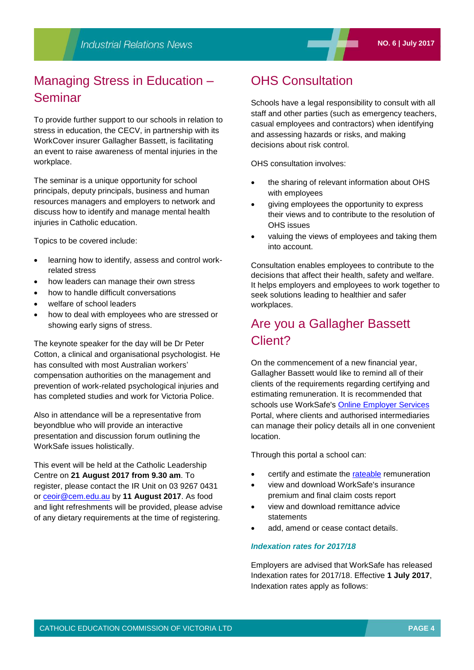# Managing Stress in Education – Seminar

To provide further support to our schools in relation to stress in education, the CECV, in partnership with its WorkCover insurer Gallagher Bassett, is facilitating an event to raise awareness of mental injuries in the workplace.

The seminar is a unique opportunity for school principals, deputy principals, business and human resources managers and employers to network and discuss how to identify and manage mental health injuries in Catholic education.

Topics to be covered include:

- learning how to identify, assess and control workrelated stress
- how leaders can manage their own stress
- how to handle difficult conversations
- welfare of school leaders
- how to deal with employees who are stressed or showing early signs of stress.

The keynote speaker for the day will be Dr Peter Cotton, a clinical and organisational psychologist. He has consulted with most Australian workers' compensation authorities on the management and prevention of work-related psychological injuries and has completed studies and work for Victoria Police.

Also in attendance will be a representative from beyondblue who will provide an interactive presentation and discussion forum outlining the WorkSafe issues holistically.

This event will be held at the Catholic Leadership Centre on **21 August 2017 from 9.30 am**. To register, please contact the IR Unit on 03 9267 0431 or [ceoir@cem.edu.au](mailto:ceoir@cem.edu.au) by **11 August 2017**. As food and light refreshments will be provided, please advise of any dietary requirements at the time of registering.

# OHS Consultation

Schools have a legal responsibility to consult with all staff and other parties (such as emergency teachers, casual employees and contractors) when identifying and assessing hazards or risks, and making decisions about risk control.

OHS consultation involves:

- the sharing of relevant information about OHS with employees
- giving employees the opportunity to express their views and to contribute to the resolution of OHS issues
- valuing the views of employees and taking them into account.

Consultation enables employees to contribute to the decisions that affect their health, safety and welfare. It helps employers and employees to work together to seek solutions leading to healthier and safer workplaces.

# Are you a Gallagher Bassett Client?

On the commencement of a new financial year, Gallagher Bassett would like to remind all of their clients of the requirements regarding certifying and estimating remuneration. It is recommended that schools use WorkSafe's [Online Employer Services](http://www.worksafe.vic.gov.au/insurance-and-premiums/online-employer-services) Portal, where clients and authorised intermediaries can manage their policy details all in one convenient location.

Through this portal a school can:

- certify and estimate the [rateable](http://gallagherbassett.us9.list-manage.com/track/click?u=d1be0fc17fd49b1d6dfa92d6a&id=47b1897343&e=f9e41a3862) remuneration
- view and download WorkSafe's insurance premium and final claim costs report
- view and download remittance advice statements
- add, amend or cease contact details.

#### *Indexation rates for 2017/18*

Employers are advised that WorkSafe has released Indexation rates for 2017/18. Effective **1 July 2017**, Indexation rates apply as follows: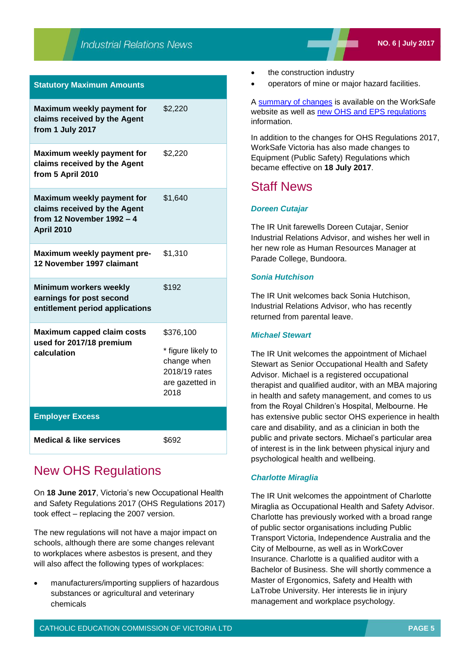| <b>Statutory Maximum Amounts</b>                                                                              |                                                                                            |
|---------------------------------------------------------------------------------------------------------------|--------------------------------------------------------------------------------------------|
| Maximum weekly payment for<br>claims received by the Agent<br>from 1 July 2017                                | \$2,220                                                                                    |
| Maximum weekly payment for<br>claims received by the Agent<br>from 5 April 2010                               | \$2,220                                                                                    |
| Maximum weekly payment for<br>claims received by the Agent<br>from 12 November 1992 $-4$<br><b>April 2010</b> | \$1,640                                                                                    |
| Maximum weekly payment pre-<br>12 November 1997 claimant                                                      | \$1,310                                                                                    |
| Minimum workers weekly<br>earnings for post second<br>entitlement period applications                         | \$192                                                                                      |
| <b>Maximum capped claim costs</b><br>used for 2017/18 premium<br>calculation                                  | \$376,100<br>* figure likely to<br>change when<br>2018/19 rates<br>are gazetted in<br>2018 |
| <b>Employer Excess</b>                                                                                        |                                                                                            |
| <b>Medical &amp; like services</b>                                                                            | \$692                                                                                      |

## New OHS Regulations

On **18 June 2017**, Victoria's new Occupational Health and Safety Regulations 2017 (OHS Regulations 2017) took effect – replacing the 2007 version.

The new regulations will not have a major impact on schools, although there are some changes relevant to workplaces where asbestos is present, and they will also affect the following types of workplaces:

 manufacturers/importing suppliers of hazardous substances or agricultural and veterinary chemicals

- the construction industry
- operators of mine or major hazard facilities.

A [summary of changes](https://www.worksafe.vic.gov.au/__data/assets/pdf_file/0011/207659/ISBN-OHS-regulations-summary-of-changes-2017-07.pdf) is available on the WorkSafe website as well as [new OHS and EPS regulations](https://www.worksafe.vic.gov.au/news/notices/new-ohs-regulations-now-apply) information.

In addition to the changes for OHS Regulations 2017, WorkSafe Victoria has also made changes to Equipment (Public Safety) Regulations which became effective on **18 July 2017**.

## Staff News

## *Doreen Cutajar*

The IR Unit farewells Doreen Cutajar, Senior Industrial Relations Advisor, and wishes her well in her new role as Human Resources Manager at Parade College, Bundoora.

## *Sonia Hutchison*

The IR Unit welcomes back Sonia Hutchison, Industrial Relations Advisor, who has recently returned from parental leave.

## *Michael Stewart*

The IR Unit welcomes the appointment of Michael Stewart as Senior Occupational Health and Safety Advisor. Michael is a registered occupational therapist and qualified auditor, with an MBA majoring in health and safety management, and comes to us from the Royal Children's Hospital, Melbourne. He has extensive public sector OHS experience in health care and disability, and as a clinician in both the public and private sectors. Michael's particular area of interest is in the link between physical injury and psychological health and wellbeing.

## *Charlotte Miraglia*

The IR Unit welcomes the appointment of Charlotte Miraglia as Occupational Health and Safety Advisor. Charlotte has previously worked with a broad range of public sector organisations including Public Transport Victoria, Independence Australia and the City of Melbourne, as well as in WorkCover Insurance. Charlotte is a qualified auditor with a Bachelor of Business. She will shortly commence a Master of Ergonomics, Safety and Health with LaTrobe University. Her interests lie in injury management and workplace psychology.